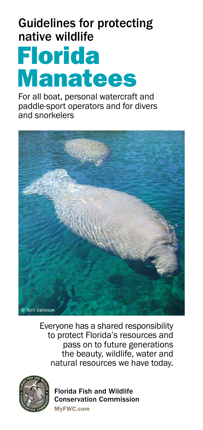# Guidelines for protecting native wildlife

# Florida Manatees

For all boat, personal watercraft and paddle-sport operators and for divers and snorkelers



Everyone has a shared responsibility to protect Florida's resources and pass on to future generations the beauty, wildlife, water and natural resources we have today.



Florida Fish and Wildlife Conservation Commission

MyFWC.com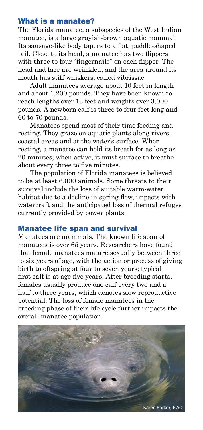#### What is a manatee?

The Florida manatee, a subspecies of the West Indian manatee, is a large grayish-brown aquatic mammal. Its sausage-like body tapers to a flat, paddle-shaped tail. Close to its head, a manatee has two flippers with three to four "fingernails" on each flipper. The head and face are wrinkled, and the area around its mouth has stiff whiskers, called vibrissae.

Adult manatees average about 10 feet in length and about 1,200 pounds. They have been known to reach lengths over 13 feet and weights over 3,000 pounds. A newborn calf is three to four feet long and 60 to 70 pounds.

Manatees spend most of their time feeding and resting. They graze on aquatic plants along rivers, coastal areas and at the water's surface. When resting, a manatee can hold its breath for as long as 20 minutes; when active, it must surface to breathe about every three to five minutes.

The population of Florida manatees is believed to be at least 6,000 animals. Some threats to their survival include the loss of suitable warm-water habitat due to a decline in spring flow, impacts with watercraft and the anticipated loss of thermal refuges currently provided by power plants.

#### Manatee life span and survival

Manatees are mammals. The known life span of manatees is over 65 years. Researchers have found that female manatees mature sexually between three to six years of age, with the action or process of giving birth to offspring at four to seven years; typical first calf is at age five years. After breeding starts, females usually produce one calf every two and a half to three years, which denotes slow reproductive potential. The loss of female manatees in the breeding phase of their life cycle further impacts the overall manatee population.

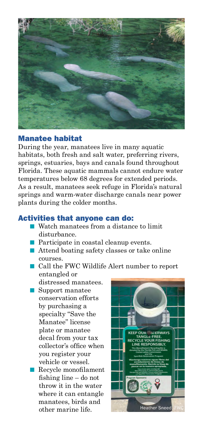

# Manatee habitat

During the year, manatees live in many aquatic habitats, both fresh and salt water, preferring rivers, springs, estuaries, bays and canals found throughout Florida. These aquatic mammals cannot endure water temperatures below 68 degrees for extended periods. As a result, manatees seek refuge in Florida's natural springs and warm-water discharge canals near power plants during the colder months.

# Activities that anyone can do:

- $\blacksquare$  Watch manatees from a distance to limit disturbance.
- $\blacksquare$  Participate in coastal cleanup events.
- $\blacksquare$  Attend boating safety classes or take online courses.
- n Call the FWC Wildlife Alert number to report entangled or
	- distressed manatees.
- $\blacksquare$  Support manatee conservation efforts by purchasing a specialty "Save the Manatee" license plate or manatee decal from your tax collector's office when you register your vehicle or vessel.
- $\blacksquare$  Recycle monofilament fishing line – do not throw it in the water where it can entangle manatees, birds and

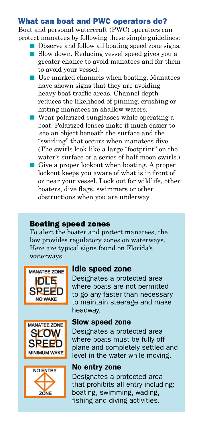### What can boat and PWC operators do?

Boat and personal watercraft (PWC) operators can protect manatees by following these simple guidelines:

- Observe and follow all boating speed zone signs. ■ Slow down. Reducing vessel speed gives you a
- greater chance to avoid manatees and for them to avoid your vessel.
- $\blacksquare$  Use marked channels when boating. Manatees have shown signs that they are avoiding heavy boat traffic areas. Channel depth reduces the likelihood of pinning, crushing or hitting manatees in shallow waters.
- $\blacksquare$  Wear polarized sunglasses while operating a boat. Polarized lenses make it much easier to see an object beneath the surface and the "swirling" that occurs when manatees dive. (The swirls look like a large "footprint" on the water's surface or a series of half moon swirls.)
- Give a proper lookout when boating. A proper lookout keeps you aware of what is in front of or near your vessel. Look out for wildlife, other boaters, dive flags, swimmers or other obstructions when you are underway.

# Boating speed zones

To alert the boater and protect manatees, the law provides regulatory zones on waterways. Here are typical signs found on Florida's waterways.







# Idle speed zone

Designates a protected area where boats are not permitted to go any faster than necessary to maintain steerage and make headway.

#### Slow speed zone

Designates a protected area where boats must be fully off plane and completely settled and level in the water while moving.

#### No entry zone

Designates a protected area that prohibits all entry including: boating, swimming, wading, fishing and diving activities.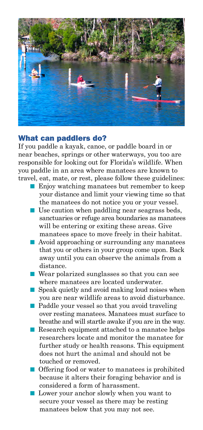

# What can paddlers do?

If you paddle a kayak, canoe, or paddle board in or near beaches, springs or other waterways, you too are responsible for looking out for Florida's wildlife. When you paddle in an area where manatees are known to travel, eat, mate, or rest, please follow these guidelines:

- $\blacksquare$  Enjoy watching manatees but remember to keep your distance and limit your viewing time so that the manatees do not notice you or your vessel.
- $\blacksquare$  Use caution when paddling near seagrass beds, sanctuaries or refuge area boundaries as manatees will be entering or exiting these areas. Give manatees space to move freely in their habitat.
- Avoid approaching or surrounding any manatees that you or others in your group come upon. Back away until you can observe the animals from a distance.
- $\blacksquare$  Wear polarized sunglasses so that you can see where manatees are located underwater.
- $\blacksquare$  Speak quietly and avoid making loud noises when you are near wildlife areas to avoid disturbance.
- $\blacksquare$  Paddle your vessel so that you avoid traveling over resting manatees. Manatees must surface to breathe and will startle awake if you are in the way.
- Research equipment attached to a manatee helps researchers locate and monitor the manatee for further study or health reasons. This equipment does not hurt the animal and should not be touched or removed.
- $\blacksquare$  Offering food or water to manatees is prohibited because it alters their foraging behavior and is considered a form of harassment.
- **n** Lower your anchor slowly when you want to secure your vessel as there may be resting manatees below that you may not see.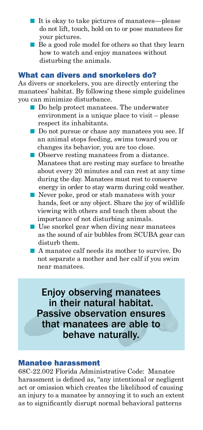- $\blacksquare$  It is okay to take pictures of manatees—please do not lift, touch, hold on to or pose manatees for your pictures.
- $\blacksquare$  Be a good role model for others so that they learn how to watch and enjoy manatees without disturbing the animals.

#### What can divers and snorkelers do?

As divers or snorkelers, you are directly entering the manatees' habitat. By following these simple guidelines you can minimize disturbance.

- $\blacksquare$  Do help protect manatees. The underwater environment is a unique place to visit – please respect its inhabitants.
- Do not pursue or chase any manatees you see. If an animal stops feeding, swims toward you or changes its behavior, you are too close.
- Observe resting manatees from a distance. Manatees that are resting may surface to breathe about every 20 minutes and can rest at any time during the day. Manatees must rest to conserve energy in order to stay warm during cold weather.
- Never poke, prod or stab manatees with your hands, feet or any object. Share the joy of wildlife viewing with others and teach them about the importance of not disturbing animals.
- $\blacksquare$  Use snorkel gear when diving near manatees as the sound of air bubbles from SCUBA gear can disturb them.
- n A manatee calf needs its mother to survive. Do not separate a mother and her calf if you swim near manatees.

Enjoy observing manatees in their natural habitat. Passive observation ensures that manatees are able to behave naturally.

#### Manatee harassment

68C-22.002 Florida Administrative Code: Manatee harassment is defined as, "any intentional or negligent act or omission which creates the likelihood of causing an injury to a manatee by annoying it to such an extent as to significantly disrupt normal behavioral patterns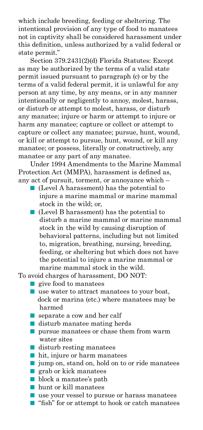which include breeding, feeding or sheltering. The intentional provision of any type of food to manatees not in captivity shall be considered harassment under this definition, unless authorized by a valid federal or state permit."

Section 379.2431(2)(d) Florida Statutes: Except as may be authorized by the terms of a valid state permit issued pursuant to paragraph (c) or by the terms of a valid federal permit, it is unlawful for any person at any time, by any means, or in any manner intentionally or negligently to annoy, molest, harass, or disturb or attempt to molest, harass, or disturb any manatee; injure or harm or attempt to injure or harm any manatee; capture or collect or attempt to capture or collect any manatee; pursue, hunt, wound, or kill or attempt to pursue, hunt, wound, or kill any manatee; or possess, literally or constructively, any manatee or any part of any manatee.

Under 1994 Amendments to the Marine Mammal Protection Act (MMPA), harassment is defined as, any act of pursuit, torment, or annoyance which –

- $\blacksquare$  (Level A harassment) has the potential to injure a marine mammal or marine mammal stock in the wild; or,
- $\blacksquare$  (Level B harassment) has the potential to disturb a marine mammal or marine mammal stock in the wild by causing disruption of behavioral patterns, including but not limited to, migration, breathing, nursing, breeding, feeding, or sheltering but which does not have the potential to injure a marine mammal or marine mammal stock in the wild.

To avoid charges of harassment, DO NOT:

- $\blacksquare$  give food to manatees
- $\blacksquare$  use water to attract manatees to your boat, dock or marina (etc.) where manatees may be harmed
- $\blacksquare$  separate a cow and her calf
- $\blacksquare$  disturb manatee mating herds
- $\blacksquare$  pursue manatees or chase them from warm water sites
- $\blacksquare$  disturb resting manatees
- $\blacksquare$  hit, injure or harm manatees
- $\blacksquare$  jump on, stand on, hold on to or ride manatees
- $\blacksquare$  grab or kick manatees
- **n** block a manatee's path
- $\blacksquare$  hunt or kill manatees
- $\blacksquare$  use your vessel to pursue or harass manatees
- $\blacksquare$  "fish" for or attempt to hook or catch manatees